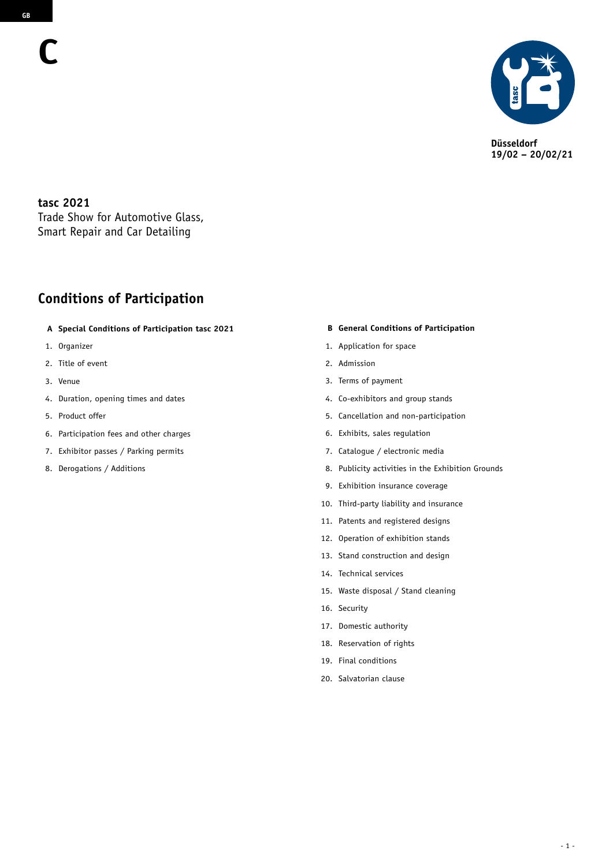

**Düsseldorf 19/02 – 20/02/21**

**tasc 2021** Trade Show for Automotive Glass, Smart Repair and Car Detailing

## **Conditions of Participation**

- **A Special Conditions of Participation tasc 2021**
- 1. Organizer
- 2. Title of event
- 3. Venue
- 4. Duration, opening times and dates
- 5. Product offer
- 6. Participation fees and other charges
- 7. Exhibitor passes / Parking permits
- 8. Derogations / Additions

#### **B General Conditions of Participation**

- 1. Application for space
- 2. Admission
- 3. Terms of payment
- 4. Co-exhibitors and group stands
- 5. Cancellation and non-participation
- 6. Exhibits, sales regulation
- 7. Catalogue / electronic media
- 8. Publicity activities in the Exhibition Grounds
- 9. Exhibition insurance coverage
- 10. Third-party liability and insurance
- 11. Patents and registered designs
- 12. Operation of exhibition stands
- 13. Stand construction and design
- 14. Technical services
- 15. Waste disposal / Stand cleaning
- 16. Security
- 17. Domestic authority
- 18. Reservation of rights
- 19. Final conditions
- 20. Salvatorian clause

**C**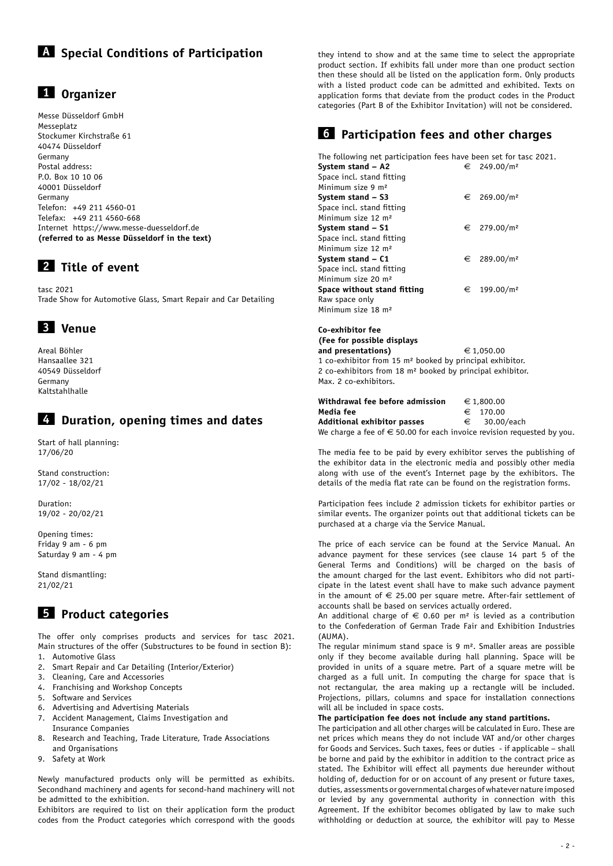# **A Special Conditions of Participation**

## **1 Organizer**

Messe Düsseldorf GmbH Messeplatz Stockumer Kirchstraße 61 40474 Düsseldorf Germany Postal address: P.O. Box 10 10 06 40001 Düsseldorf Germany Telefon: +49 211 4560-01 Telefax: +49 211 4560-668 Internet https://www.messe-duesseldorf.de **(referred to as Messe Düsseldorf in the text)**

## **2 Title of event**

tasc 2021 Trade Show for Automotive Glass, Smart Repair and Car Detailing

# **3 Venue**

Areal Böhler Hansaallee 321 40549 Düsseldorf Germany Kaltstahlhalle

## **4 Duration, opening times and dates**

Start of hall planning: 17/06/20

Stand construction: 17/02 - 18/02/21

Duration: 19/02 - 20/02/21

Opening times: Friday 9 am - 6 pm Saturday 9 am - 4 pm

Stand dismantling: 21/02/21

# **5 Product categories**

The offer only comprises products and services for tasc 2021. Main structures of the offer (Substructures to be found in section B): 1. Automotive Glass

- 2. Smart Repair and Car Detailing (Interior/Exterior)
- 3. Cleaning, Care and Accessories
- 4. Franchising and Workshop Concepts
- 5. Software and Services
- 6. Advertising and Advertising Materials
- 7. Accident Management, Claims Investigation and
- Insurance Companies
- 8. Research and Teaching, Trade Literature, Trade Associations and Organisations
- 9. Safety at Work

Newly manufactured products only will be permitted as exhibits. Secondhand machinery and agents for second-hand machinery will not be admitted to the exhibition.

Exhibitors are required to list on their application form the product codes from the Product categories which correspond with the goods

they intend to show and at the same time to select the appropriate product section. If exhibits fall under more than one product section then these should all be listed on the application form. Only products with a listed product code can be admitted and exhibited. Texts on application forms that deviate from the product codes in the Product categories (Part B of the Exhibitor Invitation) will not be considered.

## **6 Participation fees and other charges**

The following net participation fees have been set for tasc 2021. **System stand – A2**  $\qquad \qquad \in 249.00/m^2$ Space incl. stand fitting Minimum size 9 m² **System stand – S3**  $\qquad \qquad \in 269.00/m^2$ Space incl. stand fitting Minimum size 12 m² **System stand – S1**  $\qquad \qquad \in 279.00/m^2$ Space incl. stand fitting Minimum size 12 m² **System stand – C1**  $\qquad \qquad \in \quad 289.00/m^2$ Space incl. stand fitting Minimum size 20 m² **Space without stand fitting**  $\epsilon$  199.00/m<sup>2</sup> Raw space only Minimum size 18 m²

#### **Co-exhibitor fee (Fee for possible displays**  and presentations)  $\epsilon$  1,050.00

1 co-exhibitor from 15 m² booked by principal exhibitor. 2 co-exhibitors from 18 m² booked by principal exhibitor. Max. 2 co-exhibitors.

| Withdrawal fee before admission                                                 | € 1,800.00   |
|---------------------------------------------------------------------------------|--------------|
| Media fee                                                                       | $∈$ 170.00   |
| Additional exhibitor passes                                                     | € 30.00/each |
| We charge a fee of $\epsilon$ 50.00 for each invoice revision requested by you. |              |

The media fee to be paid by every exhibitor serves the publishing of the exhibitor data in the electronic media and possibly other media along with use of the event's Internet page by the exhibitors. The details of the media flat rate can be found on the registration forms.

Participation fees include 2 admission tickets for exhibitor parties or similar events. The organizer points out that additional tickets can be purchased at a charge via the Service Manual.

The price of each service can be found at the Service Manual. An advance payment for these services (see clause 14 part 5 of the General Terms and Conditions) will be charged on the basis of the amount charged for the last event. Exhibitors who did not participate in the latest event shall have to make such advance payment in the amount of  $\epsilon$  25.00 per square metre. After-fair settlement of accounts shall be based on services actually ordered.

An additional charge of  $\epsilon$  0.60 per m<sup>2</sup> is levied as a contribution to the Confederation of German Trade Fair and Exhibition Industries (AUMA).

The regular minimum stand space is 9 m². Smaller areas are possible only if they become available during hall planning. Space will be provided in units of a square metre. Part of a square metre will be charged as a full unit. In computing the charge for space that is not rectangular, the area making up a rectangle will be included. Projections, pillars, columns and space for installation connections will all be included in space costs.

#### **The participation fee does not include any stand partitions.**

The participation and all other charges will be calculated in Euro. These are net prices which means they do not include VAT and/or other charges for Goods and Services. Such taxes, fees or duties - if applicable – shall be borne and paid by the exhibitor in addition to the contract price as stated. The Exhibitor will effect all payments due hereunder without holding of, deduction for or on account of any present or future taxes, duties, assessments or governmental charges of whatever nature imposed or levied by any governmental authority in connection with this Agreement. If the exhibitor becomes obligated by law to make such withholding or deduction at source, the exhibitor will pay to Messe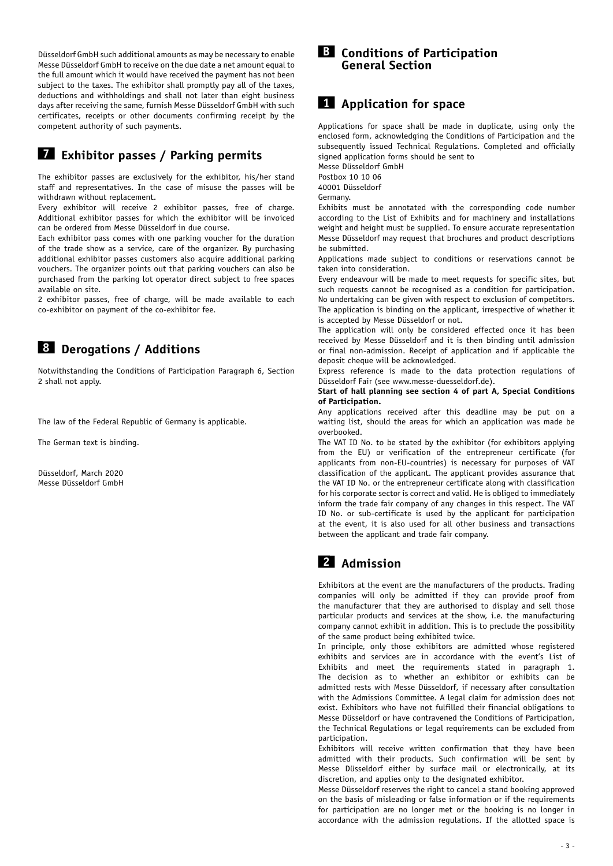Düsseldorf GmbH such additional amounts as may be necessary to enable Messe Düsseldorf GmbH to receive on the due date a net amount equal to the full amount which it would have received the payment has not been subject to the taxes. The exhibitor shall promptly pay all of the taxes, deductions and withholdings and shall not later than eight business days after receiving the same, furnish Messe Düsseldorf GmbH with such certificates, receipts or other documents confirming receipt by the competent authority of such payments.

### **7 Exhibitor passes / Parking permits**

The exhibitor passes are exclusively for the exhibitor, his/her stand staff and representatives. In the case of misuse the passes will be withdrawn without replacement.

Every exhibitor will receive 2 exhibitor passes, free of charge. Additional exhibitor passes for which the exhibitor will be invoiced can be ordered from Messe Düsseldorf in due course.

Each exhibitor pass comes with one parking voucher for the duration of the trade show as a service, care of the organizer. By purchasing additional exhibitor passes customers also acquire additional parking vouchers. The organizer points out that parking vouchers can also be purchased from the parking lot operator direct subject to free spaces available on site.

2 exhibitor passes, free of charge, will be made available to each co-exhibitor on payment of the co-exhibitor fee.

# **8 Derogations / Additions**

Notwithstanding the Conditions of Participation Paragraph 6, Section 2 shall not apply.

The law of the Federal Republic of Germany is applicable.

The German text is binding.

Düsseldorf, March 2020 Messe Düsseldorf GmbH

### **B Conditions of Participation General Section**

## **1 Application for space**

Applications for space shall be made in duplicate, using only the enclosed form, acknowledging the Conditions of Participation and the subsequently issued Technical Regulations. Completed and officially signed application forms should be sent to

Messe Düsseldorf GmbH Postbox 10 10 06

40001 Düsseldorf

Germany.

Exhibits must be annotated with the corresponding code number according to the List of Exhibits and for machinery and installations weight and height must be supplied. To ensure accurate representation Messe Düsseldorf may request that brochures and product descriptions be submitted.

Applications made subject to conditions or reservations cannot be taken into consideration.

Every endeavour will be made to meet requests for specific sites, but such requests cannot be recognised as a condition for participation. No undertaking can be given with respect to exclusion of competitors. The application is binding on the applicant, irrespective of whether it is accepted by Messe Düsseldorf or not.

The application will only be considered effected once it has been received by Messe Düsseldorf and it is then binding until admission or final non-admission. Receipt of application and if applicable the deposit cheque will be acknowledged.

Express reference is made to the data protection regulations of Düsseldorf Fair (see www.messe-duesseldorf.de).

#### **Start of hall planning see section 4 of part A, Special Conditions of Participation.**

Any applications received after this deadline may be put on a waiting list, should the areas for which an application was made be overbooked.

The VAT ID No. to be stated by the exhibitor (for exhibitors applying from the EU) or verification of the entrepreneur certificate (for applicants from non-EU-countries) is necessary for purposes of VAT classification of the applicant. The applicant provides assurance that the VAT ID No. or the entrepreneur certificate along with classification for his corporate sector is correct and valid. He is obliged to immediately inform the trade fair company of any changes in this respect. The VAT ID No. or sub-certificate is used by the applicant for participation at the event, it is also used for all other business and transactions between the applicant and trade fair company.

## **2 Admission**

Exhibitors at the event are the manufacturers of the products. Trading companies will only be admitted if they can provide proof from the manufacturer that they are authorised to display and sell those particular products and services at the show, i.e. the manufacturing company cannot exhibit in addition. This is to preclude the possibility of the same product being exhibited twice.

In principle, only those exhibitors are admitted whose registered exhibits and services are in accordance with the event's List of Exhibits and meet the requirements stated in paragraph 1. The decision as to whether an exhibitor or exhibits can be admitted rests with Messe Düsseldorf, if necessary after consultation with the Admissions Committee. A legal claim for admission does not exist. Exhibitors who have not fulfilled their financial obligations to Messe Düsseldorf or have contravened the Conditions of Participation, the Technical Regulations or legal requirements can be excluded from participation.

Exhibitors will receive written confirmation that they have been admitted with their products. Such confirmation will be sent by Messe Düsseldorf either by surface mail or electronically, at its discretion, and applies only to the designated exhibitor.

Messe Düsseldorf reserves the right to cancel a stand booking approved on the basis of misleading or false information or if the requirements for participation are no longer met or the booking is no longer in accordance with the admission regulations. If the allotted space is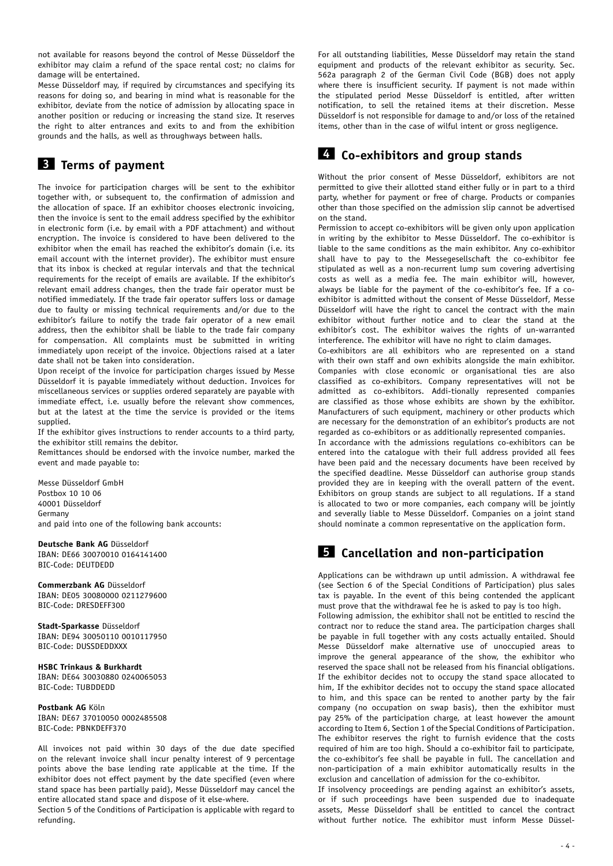not available for reasons beyond the control of Messe Düsseldorf the exhibitor may claim a refund of the space rental cost; no claims for damage will be entertained.

Messe Düsseldorf may, if required by circumstances and specifying its reasons for doing so, and bearing in mind what is reasonable for the exhibitor, deviate from the notice of admission by allocating space in another position or reducing or increasing the stand size. It reserves the right to alter entrances and exits to and from the exhibition grounds and the halls, as well as throughways between halls.

## **3 Terms of payment**

The invoice for participation charges will be sent to the exhibitor together with, or subsequent to, the confirmation of admission and the allocation of space. If an exhibitor chooses electronic invoicing, then the invoice is sent to the email address specified by the exhibitor in electronic form (i.e. by email with a PDF attachment) and without encryption. The invoice is considered to have been delivered to the exhibitor when the email has reached the exhibitor's domain (i.e. its email account with the internet provider). The exhibitor must ensure that its inbox is checked at regular intervals and that the technical requirements for the receipt of emails are available. If the exhibitor's relevant email address changes, then the trade fair operator must be notified immediately. If the trade fair operator suffers loss or damage due to faulty or missing technical requirements and/or due to the exhibitor's failure to notify the trade fair operator of a new email address, then the exhibitor shall be liable to the trade fair company for compensation. All complaints must be submitted in writing immediately upon receipt of the invoice. Objections raised at a later date shall not be taken into consideration.

Upon receipt of the invoice for participation charges issued by Messe Düsseldorf it is payable immediately without deduction. Invoices for miscellaneous services or supplies ordered separately are payable with immediate effect, i.e. usually before the relevant show commences, but at the latest at the time the service is provided or the items supplied.

If the exhibitor gives instructions to render accounts to a third party, the exhibitor still remains the debitor.

Remittances should be endorsed with the invoice number, marked the event and made payable to:

Messe Düsseldorf GmbH Postbox 10 10 06 40001 Düsseldorf Germany and paid into one of the following bank accounts:

**Deutsche Bank AG** Düsseldorf IBAN: DE66 30070010 0164141400 BIC-Code: DEUTDEDD

**Commerzbank AG** Düsseldorf IBAN: DE05 30080000 0211279600 BIC-Code: DRESDEFF300

**Stadt-Sparkasse** Düsseldorf IBAN: DE94 30050110 0010117950 BIC-Code: DUSSDEDDXXX

#### **HSBC Trinkaus & Burkhardt**

IBAN: DE64 30030880 0240065053 BIC-Code: TUBDDEDD

#### **Postbank AG** Köln

IBAN: DE67 37010050 0002485508 BIC-Code: PBNKDEFF370

All invoices not paid within 30 days of the due date specified on the relevant invoice shall incur penalty interest of 9 percentage points above the base lending rate applicable at the time. If the exhibitor does not effect payment by the date specified (even where stand space has been partially paid), Messe Düsseldorf may cancel the entire allocated stand space and dispose of it else-where.

Section 5 of the Conditions of Participation is applicable with regard to refunding.

For all outstanding liabilities, Messe Düsseldorf may retain the stand equipment and products of the relevant exhibitor as security. Sec. 562a paragraph 2 of the German Civil Code (BGB) does not apply where there is insufficient security. If payment is not made within the stipulated period Messe Düsseldorf is entitled, after written notification, to sell the retained items at their discretion. Messe Düsseldorf is not responsible for damage to and/or loss of the retained items, other than in the case of wilful intent or gross negligence.

### **4 Co-exhibitors and group stands**

Without the prior consent of Messe Düsseldorf, exhibitors are not permitted to give their allotted stand either fully or in part to a third party, whether for payment or free of charge. Products or companies other than those specified on the admission slip cannot be advertised on the stand.

Permission to accept co-exhibitors will be given only upon application in writing by the exhibitor to Messe Düsseldorf. The co-exhibitor is liable to the same conditions as the main exhibitor. Any co-exhibitor shall have to pay to the Messegesellschaft the co-exhibitor fee stipulated as well as a non-recurrent lump sum covering advertising costs as well as a media fee. The main exhibitor will, however, always be liable for the payment of the co-exhibitor's fee. If a coexhibitor is admitted without the consent of Messe Düsseldorf, Messe Düsseldorf will have the right to cancel the contract with the main exhibitor without further notice and to clear the stand at the exhibitor's cost. The exhibitor waives the rights of un-warranted interference. The exhibitor will have no right to claim damages.

Co-exhibitors are all exhibitors who are represented on a stand with their own staff and own exhibits alongside the main exhibitor. Companies with close economic or organisational ties are also classified as co-exhibitors. Company representatives will not be admitted as co-exhibitors. Addi-tionally represented companies are classified as those whose exhibits are shown by the exhibitor. Manufacturers of such equipment, machinery or other products which are necessary for the demonstration of an exhibitor's products are not regarded as co-exhibitors or as additionally represented companies.

In accordance with the admissions regulations co-exhibitors can be entered into the catalogue with their full address provided all fees have been paid and the necessary documents have been received by the specified deadline. Messe Düsseldorf can authorise group stands provided they are in keeping with the overall pattern of the event. Exhibitors on group stands are subject to all regulations. If a stand is allocated to two or more companies, each company will be jointly and severally liable to Messe Düsseldorf. Companies on a joint stand should nominate a common representative on the application form.

## **5 Cancellation and non-participation**

Applications can be withdrawn up until admission. A withdrawal fee (see Section 6 of the Special Conditions of Participation) plus sales tax is payable. In the event of this being contended the applicant must prove that the withdrawal fee he is asked to pay is too high. Following admission, the exhibitor shall not be entitled to rescind the contract nor to reduce the stand area. The participation charges shall be payable in full together with any costs actually entailed. Should Messe Düsseldorf make alternative use of unoccupied areas to improve the general appearance of the show, the exhibitor who reserved the space shall not be released from his financial obligations. If the exhibitor decides not to occupy the stand space allocated to him, If the exhibitor decides not to occupy the stand space allocated to him, and this space can be rented to another party by the fair company (no occupation on swap basis), then the exhibitor must pay 25% of the participation charge, at least however the amount according to Item 6, Section 1 of the Special Conditions of Participation. The exhibitor reserves the right to furnish evidence that the costs required of him are too high. Should a co-exhibitor fail to participate, the co-exhibitor's fee shall be payable in full. The cancellation and non-participation of a main exhibitor automatically results in the exclusion and cancellation of admission for the co-exhibitor.

If insolvency proceedings are pending against an exhibitor's assets, or if such proceedings have been suspended due to inadequate assets, Messe Düsseldorf shall be entitled to cancel the contract without further notice. The exhibitor must inform Messe Düssel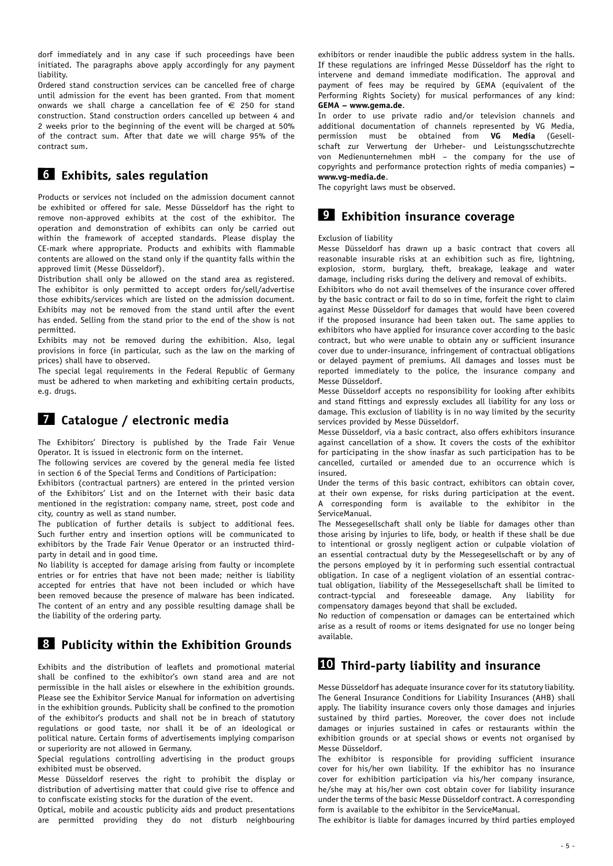dorf immediately and in any case if such proceedings have been initiated. The paragraphs above apply accordingly for any payment liability.

Ordered stand construction services can be cancelled free of charge until admission for the event has been granted. From that moment onwards we shall charge a cancellation fee of  $\epsilon$  250 for stand construction. Stand construction orders cancelled up between 4 and 2 weeks prior to the beginning of the event will be charged at 50% of the contract sum. After that date we will charge 95% of the contract sum.

### **6 Exhibits, sales regulation**

Products or services not included on the admission document cannot be exhibited or offered for sale. Messe Düsseldorf has the right to remove non-approved exhibits at the cost of the exhibitor. The operation and demonstration of exhibits can only be carried out within the framework of accepted standards. Please display the CE-mark where appropriate. Products and exhibits with flammable contents are allowed on the stand only if the quantity falls within the approved limit (Messe Düsseldorf).

Distribution shall only be allowed on the stand area as registered. The exhibitor is only permitted to accept orders for/sell/advertise those exhibits/services which are listed on the admission document. Exhibits may not be removed from the stand until after the event has ended. Selling from the stand prior to the end of the show is not permitted.

Exhibits may not be removed during the exhibition. Also, legal provisions in force (in particular, such as the law on the marking of prices) shall have to observed.

The special legal requirements in the Federal Republic of Germany must be adhered to when marketing and exhibiting certain products, e.g. drugs.

### **7 Catalogue / electronic media**

The Exhibitors' Directory is published by the Trade Fair Venue Operator. It is issued in electronic form on the internet.

The following services are covered by the general media fee listed in section 6 of the Special Terms and Conditions of Participation:

Exhibitors (contractual partners) are entered in the printed version of the Exhibitors' List and on the Internet with their basic data mentioned in the registration: company name, street, post code and city, country as well as stand number.

The publication of further details is subject to additional fees. Such further entry and insertion options will be communicated to exhibitors by the Trade Fair Venue Operator or an instructed thirdparty in detail and in good time.

No liability is accepted for damage arising from faulty or incomplete entries or for entries that have not been made; neither is liability accepted for entries that have not been included or which have been removed because the presence of malware has been indicated. The content of an entry and any possible resulting damage shall be the liability of the ordering party.

## **8 Publicity within the Exhibition Grounds**

Exhibits and the distribution of leaflets and promotional material shall be confined to the exhibitor's own stand area and are not permissible in the hall aisles or elsewhere in the exhibition grounds. Please see the Exhibitor Service Manual for information on advertising in the exhibition grounds. Publicity shall be confined to the promotion of the exhibitor's products and shall not be in breach of statutory regulations or good taste, nor shall it be of an ideological or political nature. Certain forms of advertisements implying comparison or superiority are not allowed in Germany.

Special regulations controlling advertising in the product groups exhibited must be observed.

Messe Düsseldorf reserves the right to prohibit the display or distribution of advertising matter that could give rise to offence and to confiscate existing stocks for the duration of the event.

Optical, mobile and acoustic publicity aids and product presentations are permitted providing they do not disturb neighbouring

exhibitors or render inaudible the public address system in the halls. If these regulations are infringed Messe Düsseldorf has the right to intervene and demand immediate modification. The approval and payment of fees may be required by GEMA (equivalent of the Performing Rights Society) for musical performances of any kind: **GEMA – www.gema.de**.

In order to use private radio and/or television channels and additional documentation of channels represented by VG Media, permission must be obtained from **VG Media** (Gesellschaft zur Verwertung der Urheber- und Leistungsschutzrechte von Medienunternehmen mbH – the company for the use of copyrights and performance protection rights of media companies) **– www.vg-media.de**.

The copyright laws must be observed.

### **9 Exhibition insurance coverage**

#### Exclusion of liability

Messe Düsseldorf has drawn up a basic contract that covers all reasonable insurable risks at an exhibition such as fire, lightning, explosion, storm, burglary, theft, breakage, leakage and water damage, including risks during the delivery and removal of exhibits.

Exhibitors who do not avail themselves of the insurance cover offered by the basic contract or fail to do so in time, forfeit the right to claim against Messe Düsseldorf for damages that would have been covered if the proposed insurance had been taken out. The same applies to exhibitors who have applied for insurance cover according to the basic contract, but who were unable to obtain any or sufficient insurance cover due to under-insurance, infringement of contractual obligations or delayed payment of premiums. All damages and losses must be reported immediately to the police, the insurance company and Messe Düsseldorf.

Messe Düsseldorf accepts no responsibility for looking after exhibits and stand fittings and expressly excludes all liability for any loss or damage. This exclusion of liability is in no way limited by the security services provided by Messe Düsseldorf.

Messe Düsseldorf, via a basic contract, also offers exhibitors insurance against cancellation of a show. It covers the costs of the exhibitor for participating in the show inasfar as such participation has to be cancelled, curtailed or amended due to an occurrence which is insured.

Under the terms of this basic contract, exhibitors can obtain cover, at their own expense, for risks during participation at the event. A corresponding form is available to the exhibitor in the ServiceManual.

The Messegesellschaft shall only be liable for damages other than those arising by injuries to life, body, or health if these shall be due to intentional or grossly negligent action or culpable violation of an essential contractual duty by the Messegesellschaft or by any of the persons employed by it in performing such essential contractual obligation. In case of a negligent violation of an essential contractual obligation, liability of the Messegesellschaft shall be limited to contract-typcial and foreseeable damage. Any liability for compensatory damages beyond that shall be excluded.

No reduction of compensation or damages can be entertained which arise as a result of rooms or items designated for use no longer being available.

### **10 Third-party liability and insurance**

Messe Düsseldorf has adequate insurance cover for its statutory liability. The General Insurance Conditions for Liability Insurances (AHB) shall apply. The liability insurance covers only those damages and injuries sustained by third parties. Moreover, the cover does not include damages or injuries sustained in cafes or restaurants within the exhibition grounds or at special shows or events not organised by Messe Düsseldorf.

The exhibitor is responsible for providing sufficient insurance cover for his/her own liability. If the exhibitor has no insurance cover for exhibition participation via his/her company insurance, he/she may at his/her own cost obtain cover for liability insurance under the terms of the basic Messe Düsseldorf contract. A corresponding form is available to the exhibitor in the ServiceManual.

The exhibitor is liable for damages incurred by third parties employed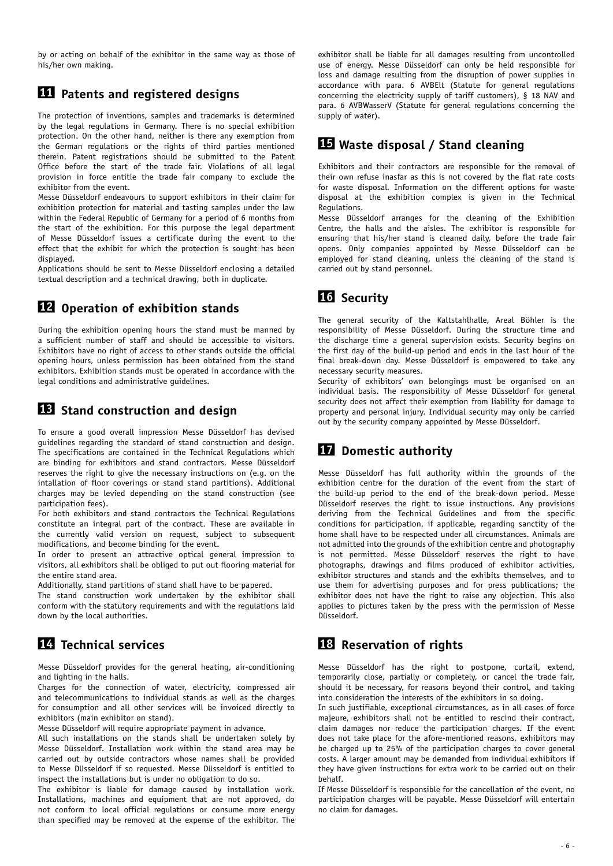by or acting on behalf of the exhibitor in the same way as those of his/her own making.

## **11 Patents and registered designs**

The protection of inventions, samples and trademarks is determined by the legal regulations in Germany. There is no special exhibition protection. On the other hand, neither is there any exemption from the German regulations or the rights of third parties mentioned therein. Patent registrations should be submitted to the Patent Office before the start of the trade fair. Violations of all legal provision in force entitle the trade fair company to exclude the exhibitor from the event.

Messe Düsseldorf endeavours to support exhibitors in their claim for exhibition protection for material and tasting samples under the law within the Federal Republic of Germany for a period of 6 months from the start of the exhibition. For this purpose the legal department of Messe Düsseldorf issues a certificate during the event to the effect that the exhibit for which the protection is sought has been displayed.

Applications should be sent to Messe Düsseldorf enclosing a detailed textual description and a technical drawing, both in duplicate.

## **12 Operation of exhibition stands**

During the exhibition opening hours the stand must be manned by a sufficient number of staff and should be accessible to visitors. Exhibitors have no right of access to other stands outside the official opening hours, unless permission has been obtained from the stand exhibitors. Exhibition stands must be operated in accordance with the legal conditions and administrative guidelines.

## **13 Stand construction and design**

To ensure a good overall impression Messe Düsseldorf has devised guidelines regarding the standard of stand construction and design. The specifications are contained in the Technical Regulations which are binding for exhibitors and stand contractors. Messe Düsseldorf reserves the right to give the necessary instructions on (e.g. on the intallation of floor coverings or stand stand partitions). Additional charges may be levied depending on the stand construction (see participation fees).

For both exhibitors and stand contractors the Technical Regulations constitute an integral part of the contract. These are available in the currently valid version on request, subject to subsequent modifications, and become binding for the event.

In order to present an attractive optical general impression to visitors, all exhibitors shall be obliged to put out flooring material for the entire stand area.

Additionally, stand partitions of stand shall have to be papered.

The stand construction work undertaken by the exhibitor shall conform with the statutory requirements and with the regulations laid down by the local authorities.

# **14 Technical services**

Messe Düsseldorf provides for the general heating, air-conditioning and lighting in the halls.

Charges for the connection of water, electricity, compressed air and telecommunications to individual stands as well as the charges for consumption and all other services will be invoiced directly to exhibitors (main exhibitor on stand).

Messe Düsseldorf will require appropriate payment in advance.

All such installations on the stands shall be undertaken solely by Messe Düsseldorf. Installation work within the stand area may be carried out by outside contractors whose names shall be provided to Messe Düsseldorf if so requested. Messe Düsseldorf is entitled to inspect the installations but is under no obligation to do so.

The exhibitor is liable for damage caused by installation work. Installations, machines and equipment that are not approved, do not conform to local official regulations or consume more energy than specified may be removed at the expense of the exhibitor. The

exhibitor shall be liable for all damages resulting from uncontrolled use of energy. Messe Düsseldorf can only be held responsible for loss and damage resulting from the disruption of power supplies in accordance with para. 6 AVBElt (Statute for general regulations concerning the electricity supply of tariff customers), § 18 NAV and para. 6 AVBWasserV (Statute for general regulations concerning the supply of water).

## **15 Waste disposal / Stand cleaning**

Exhibitors and their contractors are responsible for the removal of their own refuse inasfar as this is not covered by the flat rate costs for waste disposal*.* Information on the different options for waste disposal at the exhibition complex is given in the Technical Regulations.

Messe Düsseldorf arranges for the cleaning of the Exhibition Centre, the halls and the aisles. The exhibitor is responsible for ensuring that his/her stand is cleaned daily, before the trade fair opens. Only companies appointed by Messe Düsseldorf can be employed for stand cleaning, unless the cleaning of the stand is carried out by stand personnel.

## **16 Security**

The general security of the Kaltstahlhalle, Areal Böhler is the responsibility of Messe Düsseldorf. During the structure time and the discharge time a general supervision exists. Security begins on the first day of the build-up period and ends in the last hour of the final break-down day. Messe Düsseldorf is empowered to take any necessary security measures.

Security of exhibitors' own belongings must be organised on an individual basis. The responsibility of Messe Düsseldorf for general security does not affect their exemption from liability for damage to property and personal injury. Individual security may only be carried out by the security company appointed by Messe Düsseldorf.

## **17 Domestic authority**

Messe Düsseldorf has full authority within the grounds of the exhibition centre for the duration of the event from the start of the build-up period to the end of the break-down period. Messe Düsseldorf reserves the right to issue instructions. Any provisions deriving from the Technical Guidelines and from the specific conditions for participation, if applicable, regarding sanctity of the home shall have to be respected under all circumstances. Animals are not admitted into the grounds of the exhibition centre and photography is not permitted. Messe Düsseldorf reserves the right to have photographs, drawings and films produced of exhibitor activities, exhibitor structures and stands and the exhibits themselves, and to use them for advertising purposes and for press publications; the exhibitor does not have the right to raise any objection. This also applies to pictures taken by the press with the permission of Messe Düsseldorf.

## **18 Reservation of rights**

Messe Düsseldorf has the right to postpone, curtail, extend, temporarily close, partially or completely, or cancel the trade fair, should it be necessary, for reasons beyond their control, and taking into consideration the interests of the exhibitors in so doing.

In such justifiable, exceptional circumstances, as in all cases of force majeure, exhibitors shall not be entitled to rescind their contract, claim damages nor reduce the participation charges. If the event does not take place for the afore-mentioned reasons, exhibitors may be charged up to 25% of the participation charges to cover general costs. A larger amount may be demanded from individual exhibitors if they have given instructions for extra work to be carried out on their behalf.

If Messe Düsseldorf is responsible for the cancellation of the event, no participation charges will be payable. Messe Düsseldorf will entertain no claim for damages.